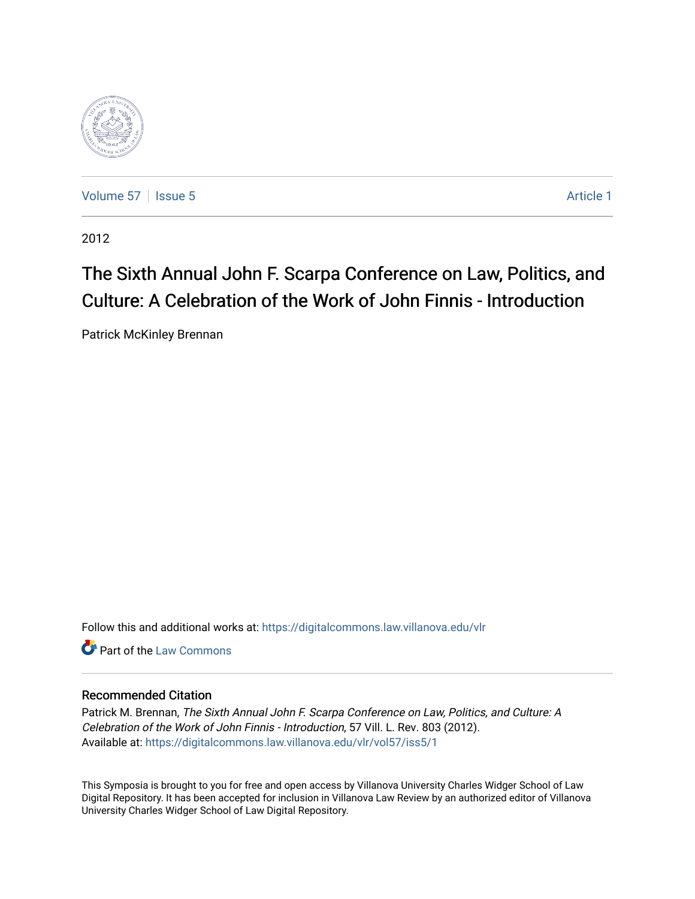

[Volume 57](https://digitalcommons.law.villanova.edu/vlr/vol57) | [Issue 5](https://digitalcommons.law.villanova.edu/vlr/vol57/iss5) Article 1

2012

# The Sixth Annual John F. Scarpa Conference on Law, Politics, and Culture: A Celebration of the Work of John Finnis - Introduction

Patrick McKinley Brennan

Follow this and additional works at: [https://digitalcommons.law.villanova.edu/vlr](https://digitalcommons.law.villanova.edu/vlr?utm_source=digitalcommons.law.villanova.edu%2Fvlr%2Fvol57%2Fiss5%2F1&utm_medium=PDF&utm_campaign=PDFCoverPages)

**C** Part of the [Law Commons](http://network.bepress.com/hgg/discipline/578?utm_source=digitalcommons.law.villanova.edu%2Fvlr%2Fvol57%2Fiss5%2F1&utm_medium=PDF&utm_campaign=PDFCoverPages)

## Recommended Citation

Patrick M. Brennan, The Sixth Annual John F. Scarpa Conference on Law, Politics, and Culture: A Celebration of the Work of John Finnis - Introduction, 57 Vill. L. Rev. 803 (2012). Available at: [https://digitalcommons.law.villanova.edu/vlr/vol57/iss5/1](https://digitalcommons.law.villanova.edu/vlr/vol57/iss5/1?utm_source=digitalcommons.law.villanova.edu%2Fvlr%2Fvol57%2Fiss5%2F1&utm_medium=PDF&utm_campaign=PDFCoverPages) 

This Symposia is brought to you for free and open access by Villanova University Charles Widger School of Law Digital Repository. It has been accepted for inclusion in Villanova Law Review by an authorized editor of Villanova University Charles Widger School of Law Digital Repository.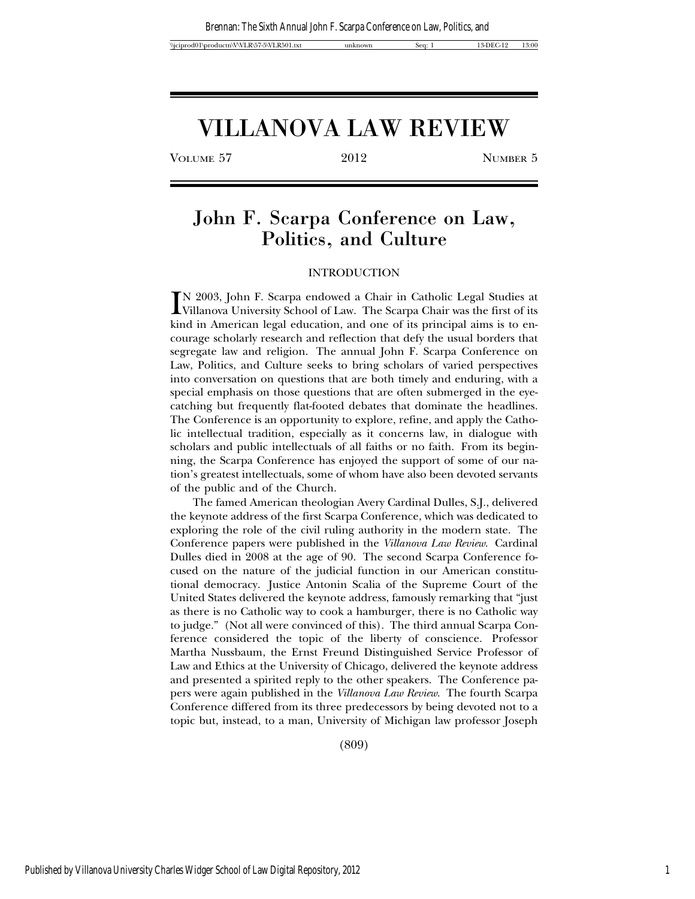# VILLANOVA LAW REVIEW

VOLUME 57 2012 NUMBER 5

## John F. Scarpa Conference on Law, Politics, and Culture

### INTRODUCTION

IN 2003, John F. Scarpa endowed a Chair in Catholic Legal Studies at Villanova University School of Law. The Scarpa Chair was the first of its bind in American land advertise, and are of its principal sime is to an Villanova University School of Law. The Scarpa Chair was the first of its kind in American legal education, and one of its principal aims is to encourage scholarly research and reflection that defy the usual borders that segregate law and religion. The annual John F. Scarpa Conference on Law, Politics, and Culture seeks to bring scholars of varied perspectives into conversation on questions that are both timely and enduring, with a special emphasis on those questions that are often submerged in the eyecatching but frequently flat-footed debates that dominate the headlines. The Conference is an opportunity to explore, refine, and apply the Catholic intellectual tradition, especially as it concerns law, in dialogue with scholars and public intellectuals of all faiths or no faith. From its beginning, the Scarpa Conference has enjoyed the support of some of our nation's greatest intellectuals, some of whom have also been devoted servants of the public and of the Church.

The famed American theologian Avery Cardinal Dulles, S.J., delivered the keynote address of the first Scarpa Conference, which was dedicated to exploring the role of the civil ruling authority in the modern state. The Conference papers were published in the *Villanova Law Review*. Cardinal Dulles died in 2008 at the age of 90. The second Scarpa Conference focused on the nature of the judicial function in our American constitutional democracy. Justice Antonin Scalia of the Supreme Court of the United States delivered the keynote address, famously remarking that "just as there is no Catholic way to cook a hamburger, there is no Catholic way to judge." (Not all were convinced of this). The third annual Scarpa Conference considered the topic of the liberty of conscience. Professor Martha Nussbaum, the Ernst Freund Distinguished Service Professor of Law and Ethics at the University of Chicago, delivered the keynote address and presented a spirited reply to the other speakers. The Conference papers were again published in the *Villanova Law Review*. The fourth Scarpa Conference differed from its three predecessors by being devoted not to a topic but, instead, to a man, University of Michigan law professor Joseph

(809)